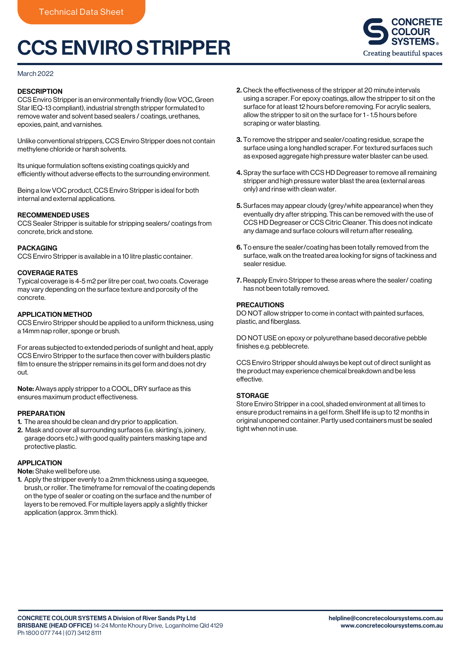# CCS ENVIRO STRIPPER



#### March 2022

## **DESCRIPTION**

CCS Enviro Stripper is an environmentally friendly (low VOC, Green Star IEQ-13 compliant), industrial strength stripper formulated to remove water and solvent based sealers / coatings, urethanes, epoxies, paint, and varnishes.

Unlike conventional strippers, CCS Enviro Stripper does not contain methylene chloride or harsh solvents.

Its unique formulation softens existing coatings quickly and efficiently without adverse effects to the surrounding environment.

Being a low VOC product, CCS Enviro Stripper is ideal for both internal and external applications.

#### RECOMMENDED USES

CCS Sealer Stripper is suitable for stripping sealers/ coatings from concrete, brick and stone.

#### PACKAGING

CCS Enviro Stripper is available in a 10 litre plastic container.

#### COVERAGE RATES

Typical coverage is 4-5 m2 per litre per coat, two coats. Coverage may vary depending on the surface texture and porosity of the concrete.

#### APPLICATION METHOD

CCS Enviro Stripper should be applied to a uniform thickness, using a 14mm nap roller, sponge or brush.

For areas subjected to extended periods of sunlight and heat, apply CCS Enviro Stripper to the surface then cover with builders plastic film to ensure the stripper remains in its gel form and does not dry out.

Note: Always apply stripper to a COOL, DRY surface as this ensures maximum product effectiveness.

#### PREPARATION

- 1. The area should be clean and dry prior to application.
- 2. Mask and cover all surrounding surfaces (i.e. skirting's, joinery, garage doors etc.) with good quality painters masking tape and protective plastic.

### APPLICATION

Note: Shake well before use.

1. Apply the stripper evenly to a 2mm thickness using a squeegee. brush, or roller. The timeframe for removal of the coating depends on the type of sealer or coating on the surface and the number of layers to be removed. For multiple layers apply a slightly thicker application (approx. 3mm thick).

- 2. Check the effectiveness of the stripper at 20 minute intervals using a scraper. For epoxy coatings, allow the stripper to sit on the surface for at least 12 hours before removing. For acrylic sealers, allow the stripper to sit on the surface for 1 - 1.5 hours before scraping or water blasting.
- 3. To remove the stripper and sealer/coating residue, scrape the surface using a long handled scraper. For textured surfaces such as exposed aggregate high pressure water blaster can be used.
- 4. Spray the surface with CCS HD Degreaser to remove all remaining stripper and high pressure water blast the area (external areas only) and rinse with clean water.
- 5. Surfaces may appear cloudy (grey/white appearance) when they eventually dry after stripping. This can be removed with the use of CCS HD Degreaser or CCS Citric Cleaner. This does not indicate any damage and surface colours will return after resealing.
- 6. To ensure the sealer/coating has been totally removed from the surface, walk on the treated area looking for signs of tackiness and sealer residue.
- 7. Reapply Enviro Stripper to these areas where the sealer/ coating has not been totally removed.

## PRECAUTIONS

DO NOT allow stripper to come in contact with painted surfaces, plastic, and fiberglass.

DO NOT USE on epoxy or polyurethane based decorative pebble finishes e.g. pebblecrete.

CCS Enviro Stripper should always be kept out of direct sunlight as the product may experience chemical breakdown and be less effective.

#### **STORAGE**

Store Enviro Stripper in a cool, shaded environment at all times to ensure product remains in a gel form. Shelf life is up to 12 months in original unopened container. Partly used containers must be sealed tight when not in use.